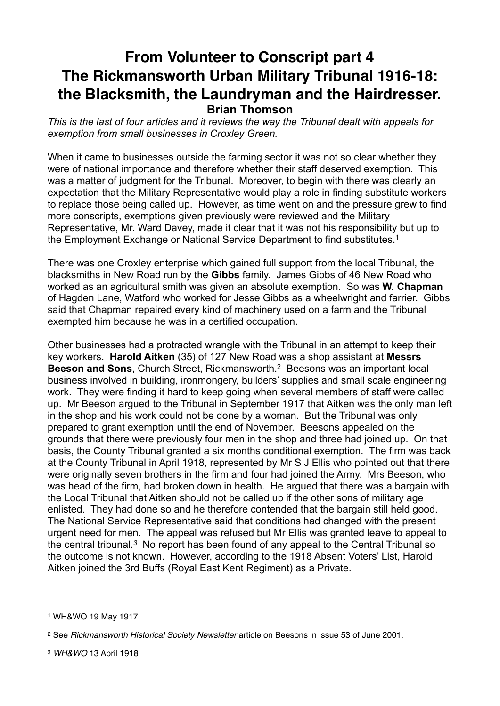## **From Volunteer to Conscript part 4 The Rickmansworth Urban Military Tribunal 1916-18: the Blacksmith, the Laundryman and the Hairdresser. Brian Thomson**

*This is the last of four articles and it reviews the way the Tribunal dealt with appeals for exemption from small businesses in Croxley Green.*

When it came to businesses outside the farming sector it was not so clear whether they were of national importance and therefore whether their staff deserved exemption. This was a matter of judgment for the Tribunal. Moreover, to begin with there was clearly an expectation that the Military Representative would play a role in finding substitute workers to replace those being called up. However, as time went on and the pressure grew to find more conscripts, exemptions given previously were reviewed and the Military Representative, Mr. Ward Davey, made it clear that it was not his responsibility but up to the Employment Exchange or National Service Department to find substitutes.1

There was one Croxley enterprise which gained full support from the local Tribunal, the blacksmiths in New Road run by the **Gibbs** family. James Gibbs of 46 New Road who worked as an agricultural smith was given an absolute exemption. So was **W. Chapman** of Hagden Lane, Watford who worked for Jesse Gibbs as a wheelwright and farrier. Gibbs said that Chapman repaired every kind of machinery used on a farm and the Tribunal exempted him because he was in a certified occupation.

Other businesses had a protracted wrangle with the Tribunal in an attempt to keep their key workers. **Harold Aitken** (35) of 127 New Road was a shop assistant at **Messrs Beeson and Sons**, Church Street, Rickmansworth.<sup>2</sup> Beesons was an important local business involved in building, ironmongery, builders' supplies and small scale engineering work. They were finding it hard to keep going when several members of staff were called up. Mr Beeson argued to the Tribunal in September 1917 that Aitken was the only man left in the shop and his work could not be done by a woman. But the Tribunal was only prepared to grant exemption until the end of November. Beesons appealed on the grounds that there were previously four men in the shop and three had joined up. On that basis, the County Tribunal granted a six months conditional exemption. The firm was back at the County Tribunal in April 1918, represented by Mr S J Ellis who pointed out that there were originally seven brothers in the firm and four had joined the Army. Mrs Beeson, who was head of the firm, had broken down in health. He argued that there was a bargain with the Local Tribunal that Aitken should not be called up if the other sons of military age enlisted. They had done so and he therefore contended that the bargain still held good. The National Service Representative said that conditions had changed with the present urgent need for men. The appeal was refused but Mr Ellis was granted leave to appeal to the central tribunal.<sup>3</sup> No report has been found of any appeal to the Central Tribunal so the outcome is not known. However, according to the 1918 Absent Voters' List, Harold Aitken joined the 3rd Buffs (Royal East Kent Regiment) as a Private.

<sup>1</sup> WH&WO 19 May 1917

<sup>&</sup>lt;sup>2</sup> See *Rickmansworth Historical Society Newsletter* article on Beesons in issue 53 of June 2001.

<sup>3</sup> *WH&WO* 13 April 1918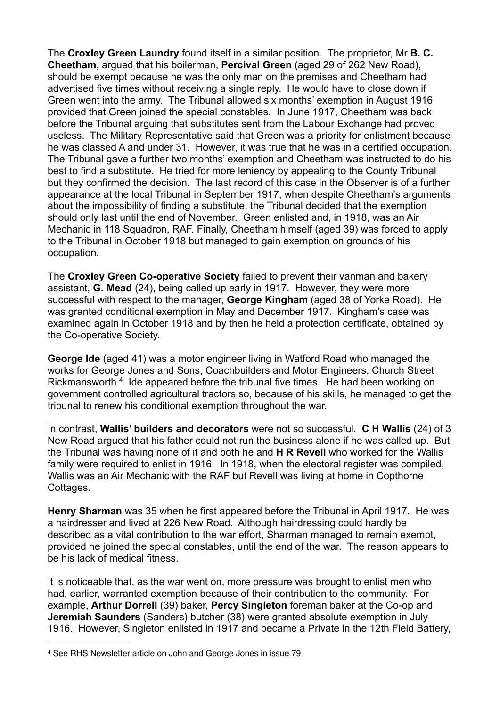The **Croxley Green Laundry** found itself in a similar position. The proprietor, Mr **B. C. Cheetham**, argued that his boilerman, **Percival Green** (aged 29 of 262 New Road), should be exempt because he was the only man on the premises and Cheetham had advertised five times without receiving a single reply. He would have to close down if Green went into the army. The Tribunal allowed six months' exemption in August 1916 provided that Green joined the special constables. In June 1917, Cheetham was back before the Tribunal arguing that substitutes sent from the Labour Exchange had proved useless. The Military Representative said that Green was a priority for enlistment because he was classed A and under 31. However, it was true that he was in a certified occupation. The Tribunal gave a further two months' exemption and Cheetham was instructed to do his best to find a substitute. He tried for more leniency by appealing to the County Tribunal but they confirmed the decision. The last record of this case in the Observer is of a further appearance at the local Tribunal in September 1917, when despite Cheetham's arguments about the impossibility of finding a substitute, the Tribunal decided that the exemption should only last until the end of November. Green enlisted and, in 1918, was an Air Mechanic in 118 Squadron, RAF. Finally, Cheetham himself (aged 39) was forced to apply to the Tribunal in October 1918 but managed to gain exemption on grounds of his occupation.

The **Croxley Green Co-operative Society** failed to prevent their vanman and bakery assistant, **G. Mead** (24), being called up early in 1917. However, they were more successful with respect to the manager, **George Kingham** (aged 38 of Yorke Road). He was granted conditional exemption in May and December 1917. Kingham's case was examined again in October 1918 and by then he held a protection certificate, obtained by the Co-operative Society.

**George Ide** (aged 41) was a motor engineer living in Watford Road who managed the works for George Jones and Sons, Coachbuilders and Motor Engineers, Church Street Rickmansworth.<sup>4</sup> Ide appeared before the tribunal five times. He had been working on government controlled agricultural tractors so, because of his skills, he managed to get the tribunal to renew his conditional exemption throughout the war.

In contrast, **Wallis' builders and decorators** were not so successful. **C H Wallis** (24) of 3 New Road argued that his father could not run the business alone if he was called up. But the Tribunal was having none of it and both he and **H R Revell** who worked for the Wallis family were required to enlist in 1916. In 1918, when the electoral register was compiled, Wallis was an Air Mechanic with the RAF but Revell was living at home in Copthorne Cottages.

**Henry Sharman** was 35 when he first appeared before the Tribunal in April 1917. He was a hairdresser and lived at 226 New Road. Although hairdressing could hardly be described as a vital contribution to the war effort, Sharman managed to remain exempt, provided he joined the special constables, until the end of the war. The reason appears to be his lack of medical fitness.

It is noticeable that, as the war went on, more pressure was brought to enlist men who had, earlier, warranted exemption because of their contribution to the community. For example, **Arthur Dorrell** (39) baker, **Percy Singleton** foreman baker at the Co-op and **Jeremiah Saunders** (Sanders) butcher (38) were granted absolute exemption in July 1916. However, Singleton enlisted in 1917 and became a Private in the 12th Field Battery,

<sup>4</sup> See RHS Newsletter article on John and George Jones in issue 79